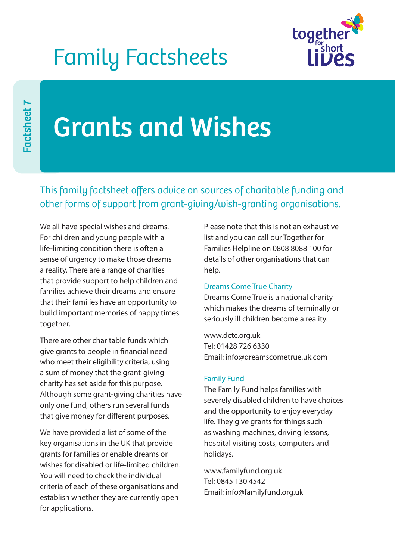## Family Factsheets



# Grants and Wishes

This family factsheet offers advice on sources of charitable funding and other forms of support from grant-giving/wish-granting organisations.

We all have special wishes and dreams. For children and young people with a life-limiting condition there is often a sense of urgency to make those dreams a reality. There are a range of charities that provide support to help children and families achieve their dreams and ensure that their families have an opportunity to build important memories of happy times together.

There are other charitable funds which give grants to people in financial need who meet their eligibility criteria, using a sum of money that the grant-giving charity has set aside for this purpose. Although some grant-giving charities have only one fund, others run several funds that give money for different purposes.

We have provided a list of some of the key organisations in the UK that provide grants for families or enable dreams or wishes for disabled or life-limited children. You will need to check the individual criteria of each of these organisations and establish whether they are currently open for applications.

Please note that this is not an exhaustive list and you can call our Together for Families Helpline on 0808 8088 100 for details of other organisations that can help.

## Dreams Come True Charity

Dreams Come True is a national charity which makes the dreams of terminally or seriously ill children become a reality.

www.dctc.org.uk Tel: 01428 726 6330 Email: info@dreamscometrue.uk.com

## Family Fund

The Family Fund helps families with severely disabled children to have choices and the opportunity to enjoy everyday life. They give grants for things such as washing machines, driving lessons, hospital visiting costs, computers and holidays.

www.familyfund.org.uk Tel: 0845 130 4542 Email: info@familyfund.org.uk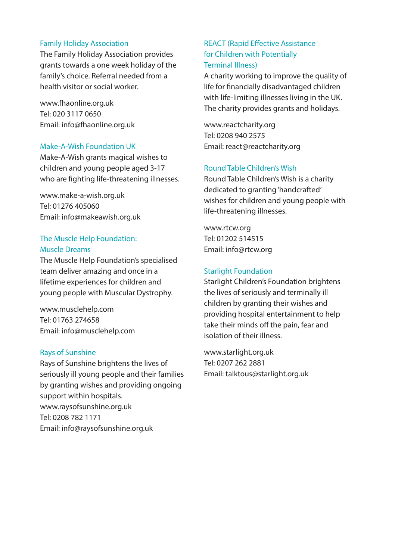#### Family Holiday Association

The Family Holiday Association provides grants towards a one week holiday of the family's choice. Referral needed from a health visitor or social worker.

www.fhaonline.org.uk Tel: 020 3117 0650 Email: info@fhaonline.org.uk

#### Make-A-Wish Foundation UK

Make-A-Wish grants magical wishes to children and young people aged 3-17 who are fighting life-threatening illnesses.

www.make-a-wish.org.uk Tel: 01276 405060 Email: info@makeawish.org.uk

## The Muscle Help Foundation: Muscle Dreams

The Muscle Help Foundation's specialised team deliver amazing and once in a lifetime experiences for children and young people with Muscular Dystrophy.

www.musclehelp.com Tel: 01763 274658 Email: info@musclehelp.com

#### Rays of Sunshine

Rays of Sunshine brightens the lives of seriously ill young people and their families by granting wishes and providing ongoing support within hospitals. www.raysofsunshine.org.uk Tel: 0208 782 1171 Email: info@raysofsunshine.org.uk

## REACT (Rapid Effective Assistance for Children with Potentially Terminal Illness)

A charity working to improve the quality of life for financially disadvantaged children with life-limiting illnesses living in the UK. The charity provides grants and holidays.

www.reactcharity.org Tel: 0208 940 2575 Email: react@reactcharity.org

## Round Table Children's Wish

Round Table Children's Wish is a charity dedicated to granting 'handcrafted' wishes for children and young people with life-threatening illnesses.

www.rtcw.org Tel: 01202 514515 Email: info@rtcw.org

#### Starlight Foundation

Starlight Children's Foundation brightens the lives of seriously and terminally ill children by granting their wishes and providing hospital entertainment to help take their minds off the pain, fear and isolation of their illness.

www.starlight.org.uk Tel: 0207 262 2881 Email: talktous@starlight.org.uk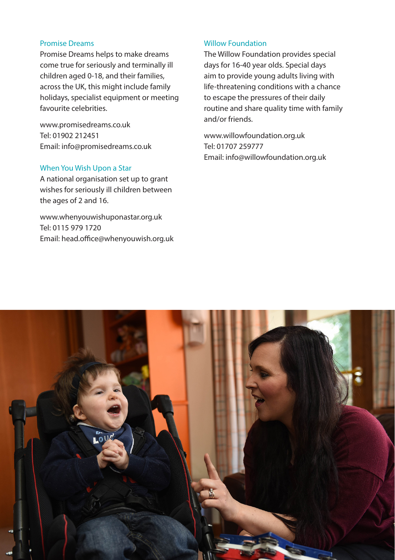### Promise Dreams

Promise Dreams helps to make dreams come true for seriously and terminally ill children aged 0-18, and their families, across the UK, this might include family holidays, specialist equipment or meeting favourite celebrities.

www.promisedreams.co.uk Tel: 01902 212451 Email: info@promisedreams.co.uk

## When You Wish Upon a Star

A national organisation set up to grant wishes for seriously ill children between the ages of 2 and 16.

www.whenyouwishuponastar.org.uk Tel: 0115 979 1720 Email: head.office@whenyouwish.org.uk

#### Willow Foundation

The Willow Foundation provides special days for 16-40 year olds. Special days aim to provide young adults living with life-threatening conditions with a chance to escape the pressures of their daily routine and share quality time with family and/or friends.

www.willowfoundation.org.uk Tel: 01707 259777 Email: info@willowfoundation.org.uk